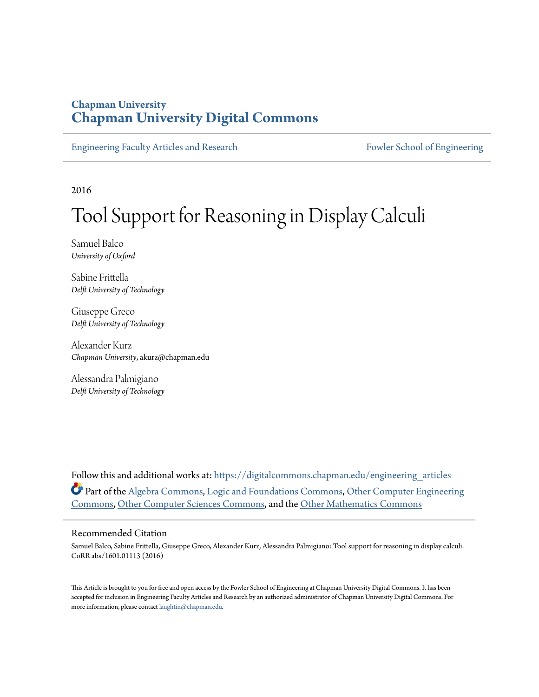## **Chapman University [Chapman University Digital Commons](https://digitalcommons.chapman.edu?utm_source=digitalcommons.chapman.edu%2Fengineering_articles%2F60&utm_medium=PDF&utm_campaign=PDFCoverPages)**

[Engineering Faculty Articles and Research](https://digitalcommons.chapman.edu/engineering_articles?utm_source=digitalcommons.chapman.edu%2Fengineering_articles%2F60&utm_medium=PDF&utm_campaign=PDFCoverPages) [Fowler School of Engineering](https://digitalcommons.chapman.edu/fowler_engineering?utm_source=digitalcommons.chapman.edu%2Fengineering_articles%2F60&utm_medium=PDF&utm_campaign=PDFCoverPages)

2016

# Tool Support for Reasoning in Display Calculi

Samuel Balco *University of Oxford*

Sabine Frittella *Delft University of Technology*

Giuseppe Greco *Delft University of Technology*

Alexander Kurz *Chapman University*, akurz@chapman.edu

Alessandra Palmigiano *Delft University of Technology*

Follow this and additional works at: [https://digitalcommons.chapman.edu/engineering\\_articles](https://digitalcommons.chapman.edu/engineering_articles?utm_source=digitalcommons.chapman.edu%2Fengineering_articles%2F60&utm_medium=PDF&utm_campaign=PDFCoverPages) Part of the [Algebra Commons,](http://network.bepress.com/hgg/discipline/175?utm_source=digitalcommons.chapman.edu%2Fengineering_articles%2F60&utm_medium=PDF&utm_campaign=PDFCoverPages) [Logic and Foundations Commons](http://network.bepress.com/hgg/discipline/182?utm_source=digitalcommons.chapman.edu%2Fengineering_articles%2F60&utm_medium=PDF&utm_campaign=PDFCoverPages), [Other Computer Engineering](http://network.bepress.com/hgg/discipline/265?utm_source=digitalcommons.chapman.edu%2Fengineering_articles%2F60&utm_medium=PDF&utm_campaign=PDFCoverPages) [Commons,](http://network.bepress.com/hgg/discipline/265?utm_source=digitalcommons.chapman.edu%2Fengineering_articles%2F60&utm_medium=PDF&utm_campaign=PDFCoverPages) [Other Computer Sciences Commons,](http://network.bepress.com/hgg/discipline/152?utm_source=digitalcommons.chapman.edu%2Fengineering_articles%2F60&utm_medium=PDF&utm_campaign=PDFCoverPages) and the [Other Mathematics Commons](http://network.bepress.com/hgg/discipline/185?utm_source=digitalcommons.chapman.edu%2Fengineering_articles%2F60&utm_medium=PDF&utm_campaign=PDFCoverPages)

## Recommended Citation

Samuel Balco, Sabine Frittella, Giuseppe Greco, Alexander Kurz, Alessandra Palmigiano: Tool support for reasoning in display calculi. CoRR abs/1601.01113 (2016)

This Article is brought to you for free and open access by the Fowler School of Engineering at Chapman University Digital Commons. It has been accepted for inclusion in Engineering Faculty Articles and Research by an authorized administrator of Chapman University Digital Commons. For more information, please contact [laughtin@chapman.edu](mailto:laughtin@chapman.edu).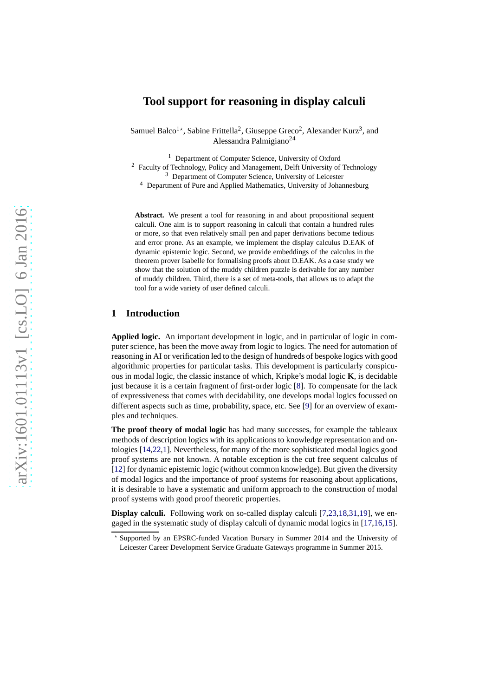## **Tool support for reasoning in display calculi**

Samuel Balco<sup>1\*</sup>, Sabine Frittella<sup>2</sup>, Giuseppe Greco<sup>2</sup>, Alexander Kurz<sup>3</sup>, and Alessandra Palmigiano<sup>24</sup>

<sup>1</sup> Department of Computer Science, University of Oxford

<sup>2</sup> Faculty of Technology, Policy and Management, Delft University of Technology <sup>3</sup> Department of Computer Science, University of Leicester

<sup>4</sup> Department of Pure and Applied Mathematics, University of Johannesburg

**Abstract.** We present a tool for reasoning in and about propositional sequent calculi. One aim is to support reasoning in calculi that contain a hundred rules or more, so that even relatively small pen and paper derivations become tedious and error prone. As an example, we implement the display calculus D.EAK of dynamic epistemic logic. Second, we provide embeddings of the calculus in the theorem prover Isabelle for formalising proofs about D.EAK. As a case study we show that the solution of the muddy children puzzle is derivable for any number of muddy children. Third, there is a set of meta-tools, that allows us to adapt the tool for a wide variety of user defined calculi.

## **1 Introduction**

**Applied logic.** An important development in logic, and in particular of logic in computer science, has been the move away from logic to logics. The need for automation of reasoning in AI or verification led to the design of hundreds of bespoke logics with good algorithmic properties for particular tasks. This development is particularly conspicuous in modal logic, the classic instance of which, Kripke's modal logic **K**, is decidable just because it is a certain fragment of first-order logic [\[8\]](#page-16-0). To compensate for the lack of expressiveness that comes with decidability, one develops modal logics focussed on different aspects such as time, probability, space, etc. See [\[9\]](#page-16-1) for an overview of examples and techniques.

**The proof theory of modal logic** has had many successes, for example the tableaux methods of description logics with its applications to knowledge representation and ontologies [\[14,](#page-16-2)[22](#page-16-3)[,1\]](#page-16-4). Nevertheless, for many of the more sophisticated modal logics good proof systems are not known. A notable exception is the cut free sequent calculus of [\[12\]](#page-16-5) for dynamic epistemic logic (without common knowledge). But given the diversity of modal logics and the importance of proof systems for reasoning about applications, it is desirable to have a systematic and uniform approach to the construction of modal proof systems with good proof theoretic properties.

**Display calculi.** Following work on so-called display calculi [\[7,](#page-16-6)[23,](#page-16-7)[18,](#page-16-8)[31,](#page-17-0)[19\]](#page-16-9), we engaged in the systematic study of display calculi of dynamic modal logics in [\[17](#page-16-10)[,16](#page-16-11)[,15\]](#page-16-12).

<sup>⋆</sup> Supported by an EPSRC-funded Vacation Bursary in Summer 2014 and the University of Leicester Career Development Service Graduate Gateways programme in Summer 2015.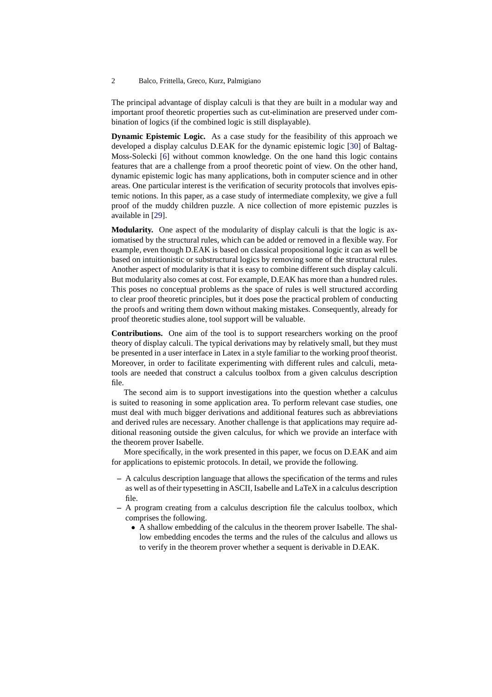The principal advantage of display calculi is that they are built in a modular way and important proof theoretic properties such as cut-elimination are preserved under combination of logics (if the combined logic is still displayable).

**Dynamic Epistemic Logic.** As a case study for the feasibility of this approach we developed a display calculus D.EAK for the dynamic epistemic logic [\[30\]](#page-17-1) of Baltag-Moss-Solecki [\[6\]](#page-16-13) without common knowledge. On the one hand this logic contains features that are a challenge from a proof theoretic point of view. On the other hand, dynamic epistemic logic has many applications, both in computer science and in other areas. One particular interest is the verification of security protocols that involves epistemic notions. In this paper, as a case study of intermediate complexity, we give a full proof of the muddy children puzzle. A nice collection of more epistemic puzzles is available in [\[29\]](#page-17-2).

**Modularity.** One aspect of the modularity of display calculi is that the logic is axiomatised by the structural rules, which can be added or removed in a flexible way. For example, even though D.EAK is based on classical propositional logic it can as well be based on intuitionistic or substructural logics by removing some of the structural rules. Another aspect of modularity is that it is easy to combine different such display calculi. But modularity also comes at cost. For example, D.EAK has more than a hundred rules. This poses no conceptual problems as the space of rules is well structured according to clear proof theoretic principles, but it does pose the practical problem of conducting the proofs and writing them down without making mistakes. Consequently, already for proof theoretic studies alone, tool support will be valuable.

**Contributions.** One aim of the tool is to support researchers working on the proof theory of display calculi. The typical derivations may by relatively small, but they must be presented in a user interface in Latex in a style familiar to the working proof theorist. Moreover, in order to facilitate experimenting with different rules and calculi, metatools are needed that construct a calculus toolbox from a given calculus description file.

The second aim is to support investigations into the question whether a calculus is suited to reasoning in some application area. To perform relevant case studies, one must deal with much bigger derivations and additional features such as abbreviations and derived rules are necessary. Another challenge is that applications may require additional reasoning outside the given calculus, for which we provide an interface with the theorem prover Isabelle.

More specifically, in the work presented in this paper, we focus on D.EAK and aim for applications to epistemic protocols. In detail, we provide the following.

- **–** A calculus description language that allows the specification of the terms and rules as well as of their typesetting in ASCII, Isabelle and LaTeX in a calculus description file.
- **–** A program creating from a calculus description file the calculus toolbox, which comprises the following.
	- A shallow embedding of the calculus in the theorem prover Isabelle. The shallow embedding encodes the terms and the rules of the calculus and allows us to verify in the theorem prover whether a sequent is derivable in D.EAK.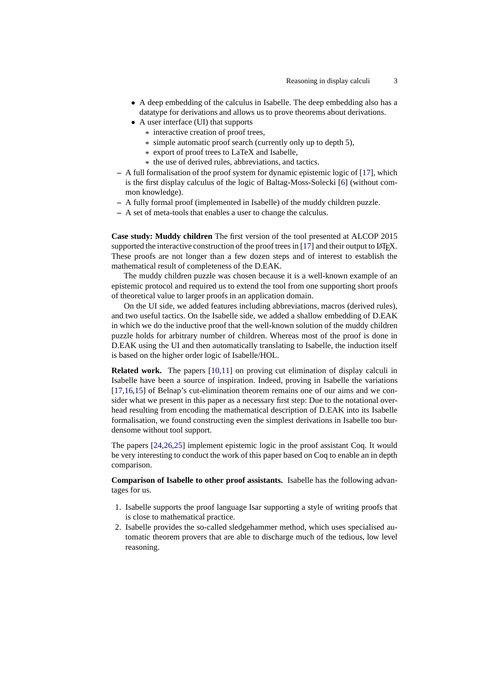- A deep embedding of the calculus in Isabelle. The deep embedding also has a datatype for derivations and allows us to prove theorems about derivations.
- A user interface (UI) that supports
	- \* interactive creation of proof trees,
	- \* simple automatic proof search (currently only up to depth 5),
	- \* export of proof trees to LaTeX and Isabelle,
	- \* the use of derived rules, abbreviations, and tactics.
- **–** A full formalisation of the proof system for dynamic epistemic logic of [\[17\]](#page-16-10), which is the first display calculus of the logic of Baltag-Moss-Solecki [\[6\]](#page-16-13) (without common knowledge).
- **–** A fully formal proof (implemented in Isabelle) of the muddy children puzzle.
- **–** A set of meta-tools that enables a user to change the calculus.

**Case study: Muddy children** The first version of the tool presented at ALCOP 2015 supported the interactive construction of the proof trees in [\[17\]](#page-16-10) and their output to  $\mathbb{F}E[X]$ . These proofs are not longer than a few dozen steps and of interest to establish the mathematical result of completeness of the D.EAK.

The muddy children puzzle was chosen because it is a well-known example of an epistemic protocol and required us to extend the tool from one supporting short proofs of theoretical value to larger proofs in an application domain.

On the UI side, we added features including abbreviations, macros (derived rules), and two useful tactics. On the Isabelle side, we added a shallow embedding of D.EAK in which we do the inductive proof that the well-known solution of the muddy children puzzle holds for arbitrary number of children. Whereas most of the proof is done in D.EAK using the UI and then automatically translating to Isabelle, the induction itself is based on the higher order logic of Isabelle/HOL.

**Related work.** The papers [\[10](#page-16-14)[,11\]](#page-16-15) on proving cut elimination of display calculi in Isabelle have been a source of inspiration. Indeed, proving in Isabelle the variations [\[17,](#page-16-10)[16](#page-16-11)[,15\]](#page-16-12) of Belnap's cut-elimination theorem remains one of our aims and we consider what we present in this paper as a necessary first step: Due to the notational overhead resulting from encoding the mathematical description of D.EAK into its Isabelle formalisation, we found constructing even the simplest derivations in Isabelle too burdensome without tool support.

The papers [\[24,](#page-17-3)[26,](#page-17-4)[25\]](#page-17-5) implement epistemic logic in the proof assistant Coq. It would be very interesting to conduct the work of this paper based on Coq to enable an in depth comparison.

**Comparison of Isabelle to other proof assistants.** Isabelle has the following advantages for us.

- 1. Isabelle supports the proof language Isar supporting a style of writing proofs that is close to mathematical practice.
- 2. Isabelle provides the so-called sledgehammer method, which uses specialised automatic theorem provers that are able to discharge much of the tedious, low level reasoning.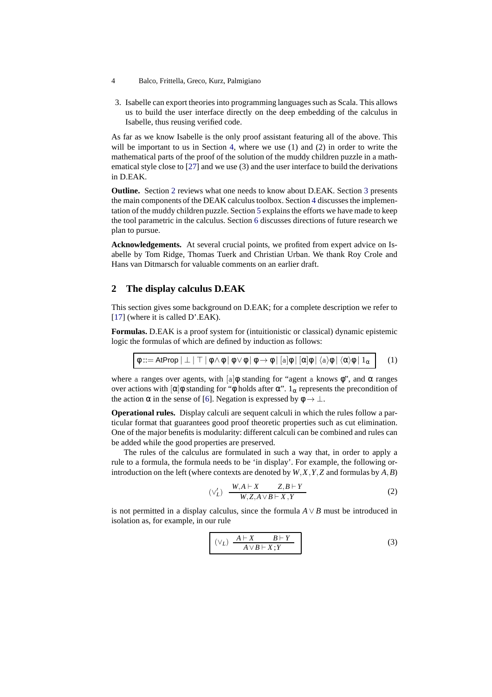- 4 Balco, Frittella, Greco, Kurz, Palmigiano
- 3. Isabelle can export theories into programming languages such as Scala. This allows us to build the user interface directly on the deep embedding of the calculus in Isabelle, thus reusing verified code.

As far as we know Isabelle is the only proof assistant featuring all of the above. This will be important to us in Section [4,](#page-9-0) where we use (1) and (2) in order to write the mathematical parts of the proof of the solution of the muddy children puzzle in a mathematical style close to [\[27\]](#page-17-6) and we use (3) and the user interface to build the derivations in D.EAK.

**Outline.** Section [2](#page-4-0) reviews what one needs to know about D.EAK. Section [3](#page-6-0) presents the main components of the DEAK calculus toolbox. Section [4](#page-9-0) discusses the implementation of the muddy children puzzle. Section [5](#page-11-0) explains the efforts we have made to keep the tool parametric in the calculus. Section [6](#page-14-0) discusses directions of future research we plan to pursue.

**Acknowledgements.** At several crucial points, we profited from expert advice on Isabelle by Tom Ridge, Thomas Tuerk and Christian Urban. We thank Roy Crole and Hans van Ditmarsch for valuable comments on an earlier draft.

## <span id="page-4-0"></span>**2 The display calculus D.EAK**

This section gives some background on D.EAK; for a complete description we refer to [\[17\]](#page-16-10) (where it is called D'.EAK).

**Formulas.** D.EAK is a proof system for (intuitionistic or classical) dynamic epistemic logic the formulas of which are defined by induction as follows:

<span id="page-4-1"></span>
$$
\varphi ::= AtProp \mid \bot \mid \top \mid \varphi \wedge \varphi \mid \varphi \vee \varphi \mid \varphi \rightarrow \varphi \mid [a] \varphi \mid [\alpha] \varphi \mid \langle a \rangle \varphi \mid \langle \alpha \rangle \varphi \mid 1_{\alpha} \qquad (1)
$$

where a ranges over agents, with  $[a]\phi$  standing for "agent a knows  $\phi$ ", and  $\alpha$  ranges over actions with  $[α]φ$  standing for "φ holds after α". 1<sub>α</sub> represents the precondition of the action  $\alpha$  in the sense of [\[6\]](#page-16-13). Negation is expressed by  $\phi \rightarrow \bot$ .

**Operational rules.** Display calculi are sequent calculi in which the rules follow a particular format that guarantees good proof theoretic properties such as cut elimination. One of the major benefits is modularity: different calculi can be combined and rules can be added while the good properties are preserved.

The rules of the calculus are formulated in such a way that, in order to apply a rule to a formula, the formula needs to be 'in display'. For example, the following orintroduction on the left (where contexts are denoted by *W*,*X*,*Y*,*Z* and formulas by *A*,*B*)

<span id="page-4-2"></span>
$$
(\vee_L') \quad \frac{W, A \vdash X \qquad Z, B \vdash Y}{W, Z, A \lor B \vdash X, Y} \tag{2}
$$

is not permitted in a display calculus, since the formula  $A \vee B$  must be introduced in isolation as, for example, in our rule

<span id="page-4-3"></span>
$$
\begin{array}{|c|c|c|}\n\hline\n(\vee_L) & \frac{A \vdash X & B \vdash Y}{A \lor B \vdash X; Y}\n\hline\n\end{array}\n\tag{3}
$$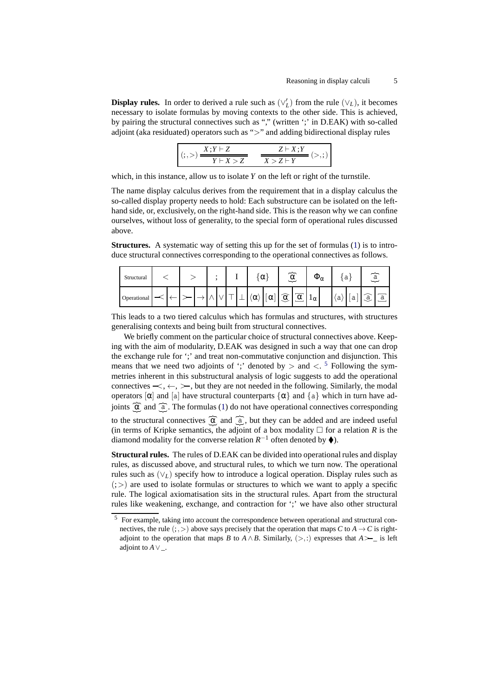**Display rules.** In order to derived a rule such as  $(\vee_L')$  from the rule  $(\vee_L)$ , it becomes necessary to isolate formulas by moving contexts to the other side. This is achieved, by pairing the structural connectives such as "," (written ';' in D.EAK) with so-called adjoint (aka residuated) operators such as ">" and adding bidirectional display rules

|  | $X:Y\vdash Z$    | $Z \vdash X : Y$ |  |
|--|------------------|------------------|--|
|  | $Y \vdash X > Z$ | $X > Z \vdash Y$ |  |

which, in this instance, allow us to isolate *Y* on the left or right of the turnstile.

The name display calculus derives from the requirement that in a display calculus the so-called display property needs to hold: Each substructure can be isolated on the lefthand side, or, exclusively, on the right-hand side. This is the reason why we can confine ourselves, without loss of generality, to the special form of operational rules discussed above.

**Structures.** A systematic way of setting this up for the set of formulas [\(1\)](#page-4-1) is to introduce structural connectives corresponding to the operational connectives as follows.

| Structural  |  |  |  |  |  |  |  |  | $\alpha$ |          | ~<br>$\sim$<br>u               |                     | $\Phi_{\alpha}$ |  | a  |   | ີ                          |   |
|-------------|--|--|--|--|--|--|--|--|----------|----------|--------------------------------|---------------------|-----------------|--|----|---|----------------------------|---|
| Operational |  |  |  |  |  |  |  |  | $\alpha$ | $\alpha$ | $\widehat{\underline{\alpha}}$ | $\overline{\alpha}$ | $1\alpha$       |  | 'a | а | a<br>$\tilde{\phantom{a}}$ | a |

This leads to a two tiered calculus which has formulas and structures, with structures generalising contexts and being built from structural connectives.

We briefly comment on the particular choice of structural connectives above. Keeping with the aim of modularity, D.EAK was designed in such a way that one can drop the exchange rule for ';' and treat non-commutative conjunction and disjunction. This means that we need two adjoints of ';' denoted by  $>$  and  $<$   $\cdot$  [5](#page-5-0) Following the symmetries inherent in this substructural analysis of logic suggests to add the operational connectives  $\prec, \leftarrow, \succ$ , but they are not needed in the following. Similarly, the modal operators [α] and [a] have structural counterparts  $\{\alpha\}$  and  $\{\alpha\}$  which in turn have adjoints  $\widehat{\alpha}$  and  $\widehat{a}$ . The formulas [\(1\)](#page-4-1) do not have operational connectives corresponding to the structural connectives  $\widehat{\alpha}$  and  $\widehat{a}$ , but they can be added and are indeed useful (in terms of Kripke semantics, the adjoint of a box modality  $\Box$  for a relation *R* is the diamond modality for the converse relation  $R^{-1}$  often denoted by ♦).

**Structural rules.** The rules of D.EAK can be divided into operational rules and display rules, as discussed above, and structural rules, to which we turn now. The operational rules such as (∨*L*) specify how to introduce a logical operation. Display rules such as  $($ ; >  $)$  are used to isolate formulas or structures to which we want to apply a specific rule. The logical axiomatisation sits in the structural rules. Apart from the structural rules like weakening, exchange, and contraction for ';' we have also other structural

<span id="page-5-0"></span><sup>5</sup> For example, taking into account the correspondence between operational and structural connectives, the rule  $($ ;  $>$ ) above says precisely that the operation that maps *C* to *A*  $\rightarrow$  *C* is rightadjoint to the operation that maps *B* to  $A \wedge B$ . Similarly,  $(\gt,,:)$  expresses that  $A \searrow$  is left adjoint to  $A \vee$  \_.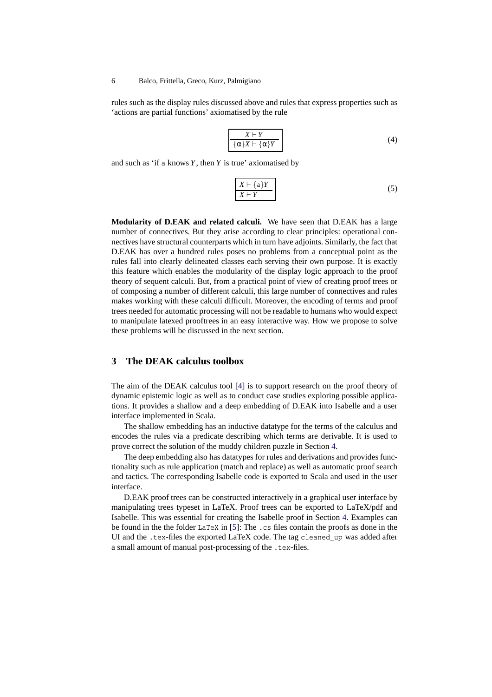rules such as the display rules discussed above and rules that express properties such as 'actions are partial functions' axiomatised by the rule

$$
\frac{X \vdash Y}{\{\alpha\}X \vdash \{\alpha\}Y}
$$
 (4)

and such as 'if a knows *Y*, then *Y* is true' axiomatised by

$$
\frac{X \vdash \{a\}Y}{X \vdash Y} \tag{5}
$$

**Modularity of D.EAK and related calculi.** We have seen that D.EAK has a large number of connectives. But they arise according to clear principles: operational connectives have structural counterparts which in turn have adjoints. Similarly, the fact that D.EAK has over a hundred rules poses no problems from a conceptual point as the rules fall into clearly delineated classes each serving their own purpose. It is exactly this feature which enables the modularity of the display logic approach to the proof theory of sequent calculi. But, from a practical point of view of creating proof trees or of composing a number of different calculi, this large number of connectives and rules makes working with these calculi difficult. Moreover, the encoding of terms and proof trees needed for automatic processing will not be readable to humans who would expect to manipulate latexed prooftrees in an easy interactive way. How we propose to solve these problems will be discussed in the next section.

## <span id="page-6-0"></span>**3 The DEAK calculus toolbox**

The aim of the DEAK calculus tool [\[4\]](#page-16-16) is to support research on the proof theory of dynamic epistemic logic as well as to conduct case studies exploring possible applications. It provides a shallow and a deep embedding of D.EAK into Isabelle and a user interface implemented in Scala.

The shallow embedding has an inductive datatype for the terms of the calculus and encodes the rules via a predicate describing which terms are derivable. It is used to prove correct the solution of the muddy children puzzle in Section [4.](#page-9-0)

The deep embedding also has datatypes for rules and derivations and provides functionality such as rule application (match and replace) as well as automatic proof search and tactics. The corresponding Isabelle code is exported to Scala and used in the user interface.

D.EAK proof trees can be constructed interactively in a graphical user interface by manipulating trees typeset in LaTeX. Proof trees can be exported to LaTeX/pdf and Isabelle. This was essential for creating the Isabelle proof in Section [4.](#page-9-0) Examples can be found in the the folder LaTeX in [\[5\]](#page-16-17): The .cs files contain the proofs as done in the UI and the .tex-files the exported LaTeX code. The tag cleaned\_up was added after a small amount of manual post-processing of the .tex-files.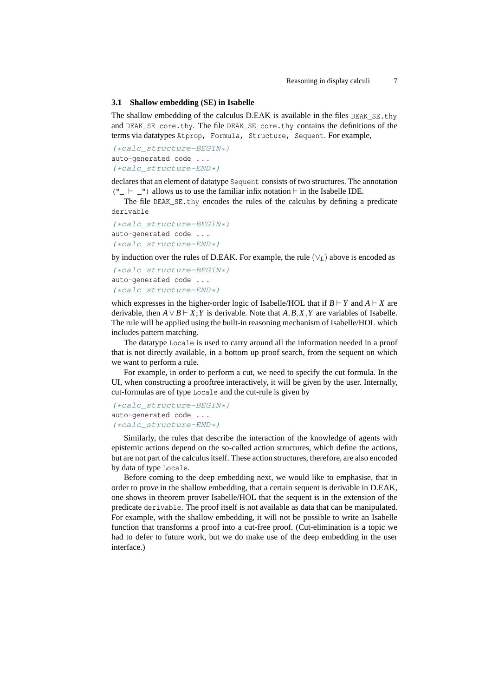#### <span id="page-7-0"></span>**3.1 Shallow embedding (SE) in Isabelle**

The shallow embedding of the calculus D.EAK is available in the files DEAK SE.thy and DEAK\_SE\_core.thy. The file DEAK\_SE\_core.thy contains the definitions of the terms via datatypes Atprop, Formula, Structure, Sequent. For example,

(\*calc\_structure-BEGIN\*) auto-generated code **...** (\*calc\_structure-END\*)

declares that an element of datatype Sequent consists of two structures. The annotation ("  $\mathsf{L}$  − ") allows us to use the familiar infix notation  $\mathsf{L}$  in the Isabelle IDE.

The file DEAK\_SE.thy encodes the rules of the calculus by defining a predicate derivable

```
(*calc_structure-BEGIN*)
auto-generated code ...
(*calc_structure-END*)
```
by induction over the rules of D.EAK. For example, the rule (∨*L*) above is encoded as

```
(*calc_structure-BEGIN*)
auto-generated code ...
(*calc_structure-END*)
```
which expresses in the higher-order logic of Isabelle/HOL that if  $B \vdash Y$  and  $A \vdash X$  are derivable, then  $A \vee B \vdash X$ ; *Y* is derivable. Note that  $A, B, X, Y$  are variables of Isabelle. The rule will be applied using the built-in reasoning mechanism of Isabelle/HOL which includes pattern matching.

The datatype Locale is used to carry around all the information needed in a proof that is not directly available, in a bottom up proof search, from the sequent on which we want to perform a rule.

For example, in order to perform a cut, we need to specify the cut formula. In the UI, when constructing a prooftree interactively, it will be given by the user. Internally, cut-formulas are of type Locale and the cut-rule is given by

```
(*calc_structure-BEGIN*)
auto-generated code ...
(*calc_structure-END*)
```
Similarly, the rules that describe the interaction of the knowledge of agents with epistemic actions depend on the so-called action structures, which define the actions, but are not part of the calculus itself. These action structures, therefore, are also encoded by data of type Locale.

Before coming to the deep embedding next, we would like to emphasise, that in order to prove in the shallow embedding, that a certain sequent is derivable in D.EAK, one shows in theorem prover Isabelle/HOL that the sequent is in the extension of the predicate derivable. The proof itself is not available as data that can be manipulated. For example, with the shallow embedding, it will not be possible to write an Isabelle function that transforms a proof into a cut-free proof. (Cut-elimination is a topic we had to defer to future work, but we do make use of the deep embedding in the user interface.)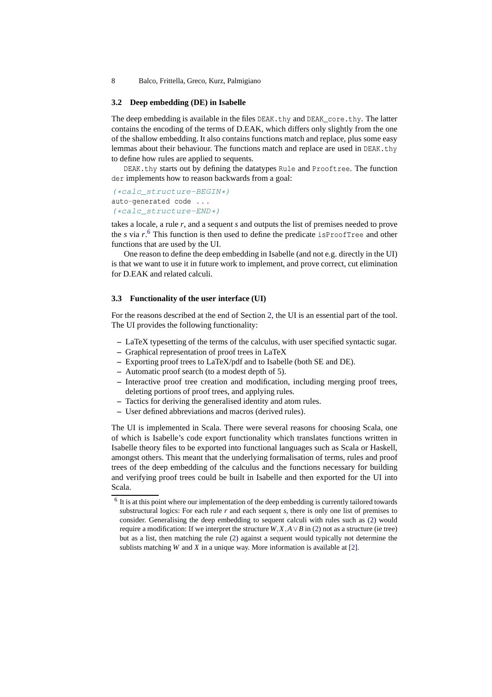#### **3.2 Deep embedding (DE) in Isabelle**

The deep embedding is available in the files DEAK.thy and DEAK\_core.thy. The latter contains the encoding of the terms of D.EAK, which differs only slightly from the one of the shallow embedding. It also contains functions match and replace, plus some easy lemmas about their behaviour. The functions match and replace are used in DEAK.thy to define how rules are applied to sequents.

DEAK.thy starts out by defining the datatypes Rule and Prooftree. The function der implements how to reason backwards from a goal:

(\*calc\_structure-BEGIN\*) auto-generated code **...** (\*calc\_structure-END\*)

takes a locale, a rule *r*, and a sequent *s* and outputs the list of premises needed to prove the *s* via *r*. [6](#page-8-0) This function is then used to define the predicate isProofTree and other functions that are used by the UI.

One reason to define the deep embedding in Isabelle (and not e.g. directly in the UI) is that we want to use it in future work to implement, and prove correct, cut elimination for D.EAK and related calculi.

#### **3.3 Functionality of the user interface (UI)**

For the reasons described at the end of Section [2,](#page-4-0) the UI is an essential part of the tool. The UI provides the following functionality:

- **–** LaTeX typesetting of the terms of the calculus, with user specified syntactic sugar.
- **–** Graphical representation of proof trees in LaTeX
- **–** Exporting proof trees to LaTeX/pdf and to Isabelle (both SE and DE).
- **–** Automatic proof search (to a modest depth of 5).
- **–** Interactive proof tree creation and modification, including merging proof trees, deleting portions of proof trees, and applying rules.
- **–** Tactics for deriving the generalised identity and atom rules.
- **–** User defined abbreviations and macros (derived rules).

The UI is implemented in Scala. There were several reasons for choosing Scala, one of which is Isabelle's code export functionality which translates functions written in Isabelle theory files to be exported into functional languages such as Scala or Haskell, amongst others. This meant that the underlying formalisation of terms, rules and proof trees of the deep embedding of the calculus and the functions necessary for building and verifying proof trees could be built in Isabelle and then exported for the UI into Scala.

<span id="page-8-0"></span> $6$  It is at this point where our implementation of the deep embedding is currently tailored towards substructural logics: For each rule *r* and each sequent *s*, there is only one list of premises to consider. Generalising the deep embedding to sequent calculi with rules such as [\(2\)](#page-4-2) would require a modification: If we interpret the structure  $W, X, A \vee B$  in [\(2\)](#page-4-2) not as a structure (ie tree) but as a list, then matching the rule [\(2\)](#page-4-2) against a sequent would typically not determine the sublists matching *W* and *X* in a unique way. More information is available at [\[2\]](#page-16-18).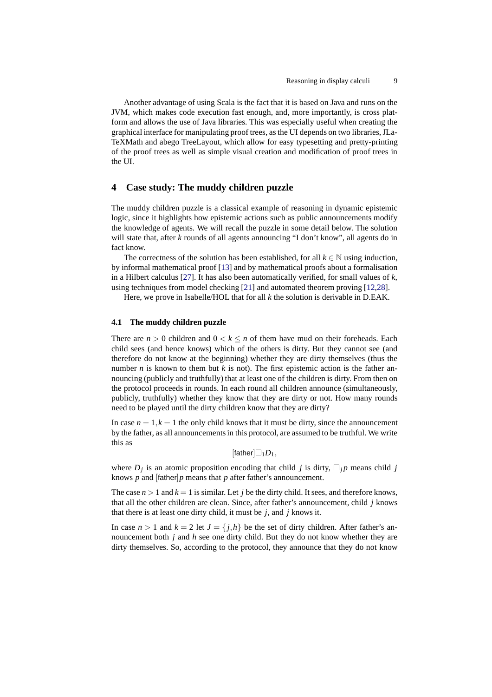Another advantage of using Scala is the fact that it is based on Java and runs on the JVM, which makes code execution fast enough, and, more importantly, is cross platform and allows the use of Java libraries. This was especially useful when creating the graphical interface for manipulating proof trees, as the UI depends on two libraries, JLa-TeXMath and abego TreeLayout, which allow for easy typesetting and pretty-printing of the proof trees as well as simple visual creation and modification of proof trees in the UI.

## <span id="page-9-0"></span>**4 Case study: The muddy children puzzle**

The muddy children puzzle is a classical example of reasoning in dynamic epistemic logic, since it highlights how epistemic actions such as public announcements modify the knowledge of agents. We will recall the puzzle in some detail below. The solution will state that, after *k* rounds of all agents announcing "I don't know", all agents do in fact know.

The correctness of the solution has been established, for all  $k \in \mathbb{N}$  using induction, by informal mathematical proof [\[13\]](#page-16-19) and by mathematical proofs about a formalisation in a Hilbert calculus [\[27\]](#page-17-6). It has also been automatically verified, for small values of *k*, using techniques from model checking [\[21\]](#page-16-20) and automated theorem proving [\[12](#page-16-5)[,28\]](#page-17-7).

Here, we prove in Isabelle/HOL that for all *k* the solution is derivable in D.EAK.

#### **4.1 The muddy children puzzle**

There are  $n > 0$  children and  $0 < k \leq n$  of them have mud on their foreheads. Each child sees (and hence knows) which of the others is dirty. But they cannot see (and therefore do not know at the beginning) whether they are dirty themselves (thus the number *n* is known to them but *k* is not). The first epistemic action is the father announcing (publicly and truthfully) that at least one of the children is dirty. From then on the protocol proceeds in rounds. In each round all children announce (simultaneously, publicly, truthfully) whether they know that they are dirty or not. How many rounds need to be played until the dirty children know that they are dirty?

In case  $n = 1, k = 1$  the only child knows that it must be dirty, since the announcement by the father, as all announcements in this protocol, are assumed to be truthful. We write this as

 $[father] \Box_1D_1$ ,

where  $D_j$  is an atomic proposition encoding that child *j* is dirty,  $\Box_j p$  means child *j* knows *p* and [father]*p* means that *p* after father's announcement.

The case  $n > 1$  and  $k = 1$  is similar. Let *j* be the dirty child. It sees, and therefore knows, that all the other children are clean. Since, after father's announcement, child *j* knows that there is at least one dirty child, it must be *j*, and *j* knows it.

In case  $n > 1$  and  $k = 2$  let  $J = \{j, h\}$  be the set of dirty children. After father's announcement both *j* and *h* see one dirty child. But they do not know whether they are dirty themselves. So, according to the protocol, they announce that they do not know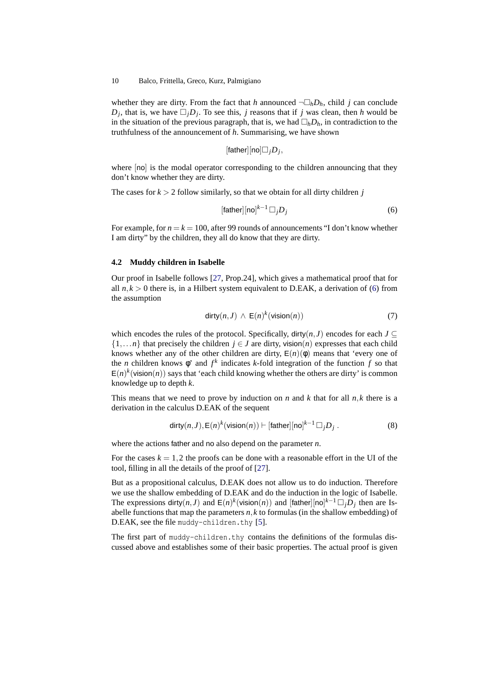whether they are dirty. From the fact that *h* announced  $\neg \Box_h D_h$ , child *j* can conclude *D*<sup>*j*</sup>, that is, we have  $\Box_j D_j$ . To see this, *j* reasons that if *j* was clean, then *h* would be in the situation of the previous paragraph, that is, we had  $\Box_h D_h$ , in contradiction to the truthfulness of the announcement of *h*. Summarising, we have shown

[father][no]*jD<sup>j</sup>* ,

where  $[no]$  is the modal operator corresponding to the children announcing that they don't know whether they are dirty.

The cases for  $k > 2$  follow similarly, so that we obtain for all dirty children *j* 

<span id="page-10-0"></span>
$$
[father][no]^{k-1} \square_j D_j \tag{6}
$$

For example, for  $n = k = 100$ , after 99 rounds of announcements "I don't know whether I am dirty" by the children, they all do know that they are dirty.

#### **4.2 Muddy children in Isabelle**

Our proof in Isabelle follows [\[27,](#page-17-6) Prop.24], which gives a mathematical proof that for all  $n, k > 0$  there is, in a Hilbert system equivalent to D.EAK, a derivation of [\(6\)](#page-10-0) from the assumption

<span id="page-10-1"></span>
$$
dirty(n,J) \wedge \mathsf{E}(n)^{k}(\mathsf{vision}(n)) \tag{7}
$$

which encodes the rules of the protocol. Specifically, dirty( $n$ , $J$ ) encodes for each  $J \subseteq$  $\{1,\ldots,n\}$  that precisely the children  $j \in J$  are dirty, vision(*n*) expresses that each child knows whether any of the other children are dirty,  $E(n)(\phi)$  means that 'every one of the *n* children knows φ' and  $f^k$  indicates *k*-fold integration of the function  $f$  so that  $E(n)^k$ (vision(*n*)) says that 'each child knowing whether the others are dirty' is common knowledge up to depth *k*.

This means that we need to prove by induction on  $n$  and  $k$  that for all  $n, k$  there is a derivation in the calculus D.EAK of the sequent

$$
dirty(n,J), \mathsf{E}(n)^{k}(\mathsf{vision}(n)) \vdash [\mathsf{father}][\mathsf{no}]^{k-1} \Box_j D_j. \tag{8}
$$

where the actions father and no also depend on the parameter *n*.

For the cases  $k = 1, 2$  the proofs can be done with a reasonable effort in the UI of the tool, filling in all the details of the proof of [\[27\]](#page-17-6).

But as a propositional calculus, D.EAK does not allow us to do induction. Therefore we use the shallow embedding of D.EAK and do the induction in the logic of Isabelle. The expressions dirty $(n, J)$  and  $E(n)^k(\text{vision}(n))$  and  $[\text{father}][\text{no}]^{k-1} \square_j D_j$  then are Isabelle functions that map the parameters  $n, k$  to formulas (in the shallow embedding) of D.EAK, see the file muddy-children.thy [\[5\]](#page-16-17).

The first part of muddy-children.thy contains the definitions of the formulas discussed above and establishes some of their basic properties. The actual proof is given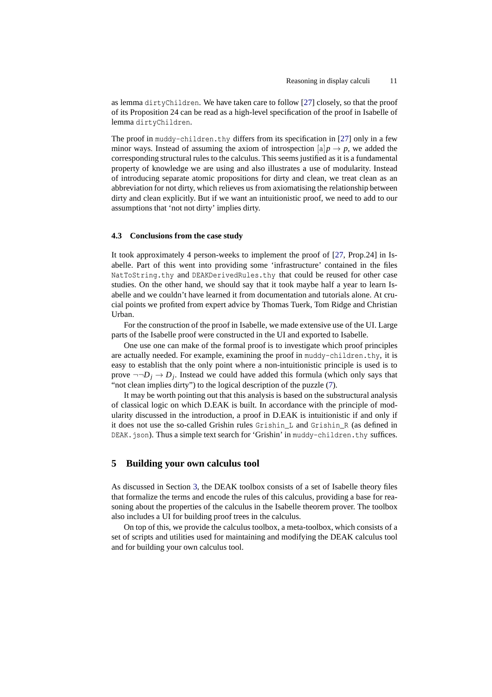as lemma dirtyChildren. We have taken care to follow [\[27\]](#page-17-6) closely, so that the proof of its Proposition 24 can be read as a high-level specification of the proof in Isabelle of lemma dirtyChildren.

The proof in muddy-children.thy differs from its specification in [\[27\]](#page-17-6) only in a few minor ways. Instead of assuming the axiom of introspection  $[a]p \rightarrow p$ , we added the corresponding structural rules to the calculus. This seems justified as it is a fundamental property of knowledge we are using and also illustrates a use of modularity. Instead of introducing separate atomic propositions for dirty and clean, we treat clean as an abbreviation for not dirty, which relieves us from axiomatising the relationship between dirty and clean explicitly. But if we want an intuitionistic proof, we need to add to our assumptions that 'not not dirty' implies dirty.

#### **4.3 Conclusions from the case study**

It took approximately 4 person-weeks to implement the proof of [\[27,](#page-17-6) Prop.24] in Isabelle. Part of this went into providing some 'infrastructure' contained in the files NatToString.thy and DEAKDerivedRules.thy that could be reused for other case studies. On the other hand, we should say that it took maybe half a year to learn Isabelle and we couldn't have learned it from documentation and tutorials alone. At crucial points we profited from expert advice by Thomas Tuerk, Tom Ridge and Christian Urban.

For the construction of the proof in Isabelle, we made extensive use of the UI. Large parts of the Isabelle proof were constructed in the UI and exported to Isabelle.

One use one can make of the formal proof is to investigate which proof principles are actually needed. For example, examining the proof in muddy-children.thy, it is easy to establish that the only point where a non-intuitionistic principle is used is to prove  $\neg\neg D_j \rightarrow D_j$ . Instead we could have added this formula (which only says that "not clean implies dirty") to the logical description of the puzzle [\(7\)](#page-10-1).

It may be worth pointing out that this analysis is based on the substructural analysis of classical logic on which D.EAK is built. In accordance with the principle of modularity discussed in the introduction, a proof in D.EAK is intuitionistic if and only if it does not use the so-called Grishin rules Grishin\_L and Grishin\_R (as defined in DEAK.json). Thus a simple text search for 'Grishin' in muddy-children.thy suffices.

## <span id="page-11-0"></span>**5 Building your own calculus tool**

As discussed in Section [3,](#page-6-0) the DEAK toolbox consists of a set of Isabelle theory files that formalize the terms and encode the rules of this calculus, providing a base for reasoning about the properties of the calculus in the Isabelle theorem prover. The toolbox also includes a UI for building proof trees in the calculus.

On top of this, we provide the calculus toolbox, a meta-toolbox, which consists of a set of scripts and utilities used for maintaining and modifying the DEAK calculus tool and for building your own calculus tool.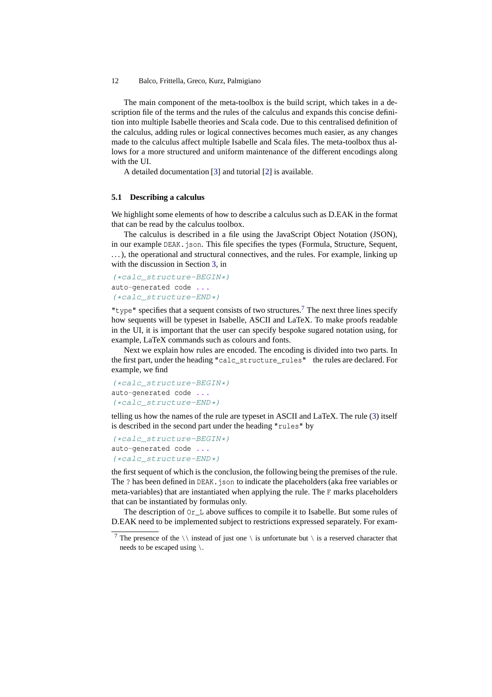The main component of the meta-toolbox is the build script, which takes in a description file of the terms and the rules of the calculus and expands this concise definition into multiple Isabelle theories and Scala code. Due to this centralised definition of the calculus, adding rules or logical connectives becomes much easier, as any changes made to the calculus affect multiple Isabelle and Scala files. The meta-toolbox thus allows for a more structured and uniform maintenance of the different encodings along with the UI.

A detailed documentation [\[3\]](#page-16-21) and tutorial [\[2\]](#page-16-18) is available.

#### **5.1 Describing a calculus**

We highlight some elements of how to describe a calculus such as  $D.EAK$  in the format that can be read by the calculus toolbox.

The calculus is described in a file using the JavaScript Object Notation (JSON), in our example DEAK. json. This file specifies the types (Formula, Structure, Sequent, ...), the operational and structural connectives, and the rules. For example, linking up with the discussion in Section [3,](#page-6-0) in

```
(*calc_structure-BEGIN*)
auto-generated code ...
(*calc_structure-END*)
```
"type" specifies that a sequent consists of two structures.<sup>[7](#page-12-0)</sup> The next three lines specify how sequents will be typeset in Isabelle, ASCII and LaTeX. To make proofs readable in the UI, it is important that the user can specify bespoke sugared notation using, for example, LaTeX commands such as colours and fonts.

Next we explain how rules are encoded. The encoding is divided into two parts. In the first part, under the heading "calc\_structure\_rules" the rules are declared. For example, we find

```
(*calc_structure-BEGIN*)
auto-generated code ...
(*calc_structure-END*)
```
telling us how the names of the rule are typeset in ASCII and LaTeX. The rule [\(3\)](#page-4-3) itself is described in the second part under the heading "rules" by

```
(*calc_structure-BEGIN*)
auto-generated code ...
(*calc_structure-END*)
```
the first sequent of which is the conclusion, the following being the premises of the rule. The ? has been defined in DEAK. json to indicate the placeholders (aka free variables or meta-variables) that are instantiated when applying the rule. The F marks placeholders that can be instantiated by formulas only.

The description of Or\_L above suffices to compile it to Isabelle. But some rules of D.EAK need to be implemented subject to restrictions expressed separately. For exam-

<span id="page-12-0"></span><sup>&</sup>lt;sup>7</sup> The presence of the  $\setminus \setminus$  instead of just one  $\setminus$  is unfortunate but  $\setminus$  is a reserved character that needs to be escaped using \.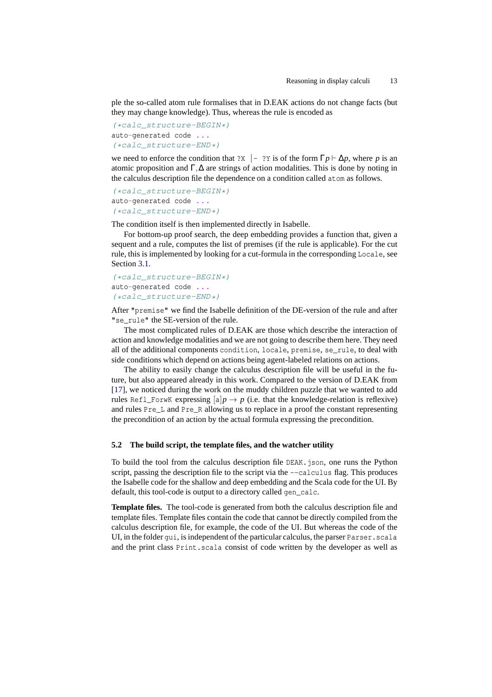ple the so-called atom rule formalises that in D.EAK actions do not change facts (but they may change knowledge). Thus, whereas the rule is encoded as

```
(*calc_structure-BEGIN*)
auto-generated code ...
(*calc_structure-END*)
```
we need to enforce the condition that ?X |- ?Y is of the form  $\Gamma p \vdash \Delta p$ , where *p* is an atomic proposition and  $\Gamma$ ,  $\Delta$  are strings of action modalities. This is done by noting in the calculus description file the dependence on a condition called atom as follows.

```
(*calc_structure-BEGIN*)
auto-generated code ...
(*calc_structure-END*)
```
The condition itself is then implemented directly in Isabelle.

For bottom-up proof search, the deep embedding provides a function that, given a sequent and a rule, computes the list of premises (if the rule is applicable). For the cut rule, this is implemented by looking for a cut-formula in the corresponding Locale, see Section [3.1.](#page-7-0)

```
(*calc_structure-BEGIN*)
auto-generated code ...
(*calc_structure-END*)
```
After "premise" we find the Isabelle definition of the DE-version of the rule and after "se\_rule" the SE-version of the rule.

The most complicated rules of D.EAK are those which describe the interaction of action and knowledge modalities and we are not going to describe them here. They need all of the additional components condition, locale, premise, se\_rule, to deal with side conditions which depend on actions being agent-labeled relations on actions.

The ability to easily change the calculus description file will be useful in the future, but also appeared already in this work. Compared to the version of D.EAK from [\[17\]](#page-16-10), we noticed during the work on the muddy children puzzle that we wanted to add rules Refl\_ForwK expressing  $[a]p \rightarrow p$  (i.e. that the knowledge-relation is reflexive) and rules Pre\_L and Pre\_R allowing us to replace in a proof the constant representing the precondition of an action by the actual formula expressing the precondition.

#### **5.2 The build script, the template files, and the watcher utility**

To build the tool from the calculus description file DEAK, ison, one runs the Python script, passing the description file to the script via the --calculus flag. This produces the Isabelle code for the shallow and deep embedding and the Scala code for the UI. By default, this tool-code is output to a directory called gen\_calc.

**Template files.** The tool-code is generated from both the calculus description file and template files. Template files contain the code that cannot be directly compiled from the calculus description file, for example, the code of the UI. But whereas the code of the UI, in the folder gui, is independent of the particular calculus, the parser Parser.scala and the print class Print.scala consist of code written by the developer as well as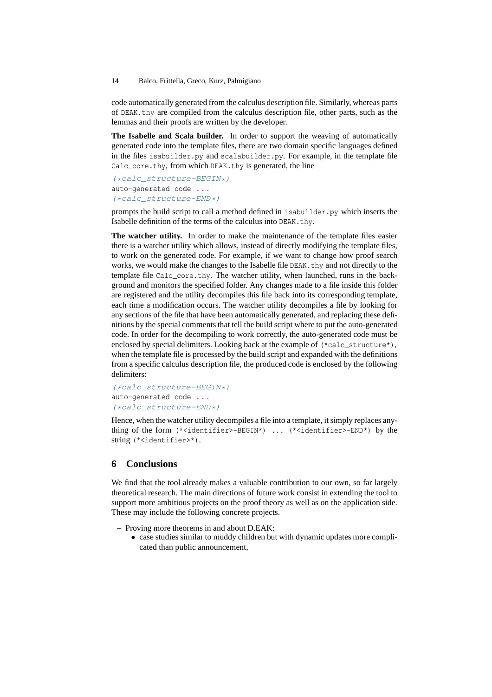code automatically generated from the calculus description file. Similarly, whereas parts of DEAK.thy are compiled from the calculus description file, other parts, such as the lemmas and their proofs are written by the developer.

**The Isabelle and Scala builder.** In order to support the weaving of automatically generated code into the template files, there are two domain specific languages defined in the files isabuilder.py and scalabuilder.py. For example, in the template file Calc\_core.thy, from which DEAK.thy is generated, the line

```
(*calc_structure-BEGIN*)
auto-generated code ...
(*calc_structure-END*)
```
prompts the build script to call a method defined in isabuilder.py which inserts the Isabelle definition of the terms of the calculus into DEAK.thy.

**The watcher utility.** In order to make the maintenance of the template files easier there is a watcher utility which allows, instead of directly modifying the template files, to work on the generated code. For example, if we want to change how proof search works, we would make the changes to the Isabelle file DEAK.thy and not directly to the template file Calc\_core.thy. The watcher utility, when launched, runs in the background and monitors the specified folder. Any changes made to a file inside this folder are registered and the utility decompiles this file back into its corresponding template, each time a modification occurs. The watcher utility decompiles a file by looking for any sections of the file that have been automatically generated, and replacing these definitions by the special comments that tell the build script where to put the auto-generated code. In order for the decompiling to work correctly, the auto-generated code must be enclosed by special delimiters. Looking back at the example of (\*calc\_structure\*), when the template file is processed by the build script and expanded with the definitions from a specific calculus description file, the produced code is enclosed by the following delimiters:

```
(*calc_structure-BEGIN*)
auto-generated code ...
(*calc_structure-END*)
```
Hence, when the watcher utility decompiles a file into a template, it simply replaces anything of the form (\*<identifier>-BEGIN\*) ... (\*<identifier>-END\*) by the string (\*<identifier>\*).

## <span id="page-14-0"></span>**6 Conclusions**

We find that the tool already makes a valuable contribution to our own, so far largely theoretical research. The main directions of future work consist in extending the tool to support more ambitious projects on the proof theory as well as on the application side. These may include the following concrete projects.

- **–** Proving more theorems in and about D.EAK:
	- case studies similar to muddy children but with dynamic updates more complicated than public announcement,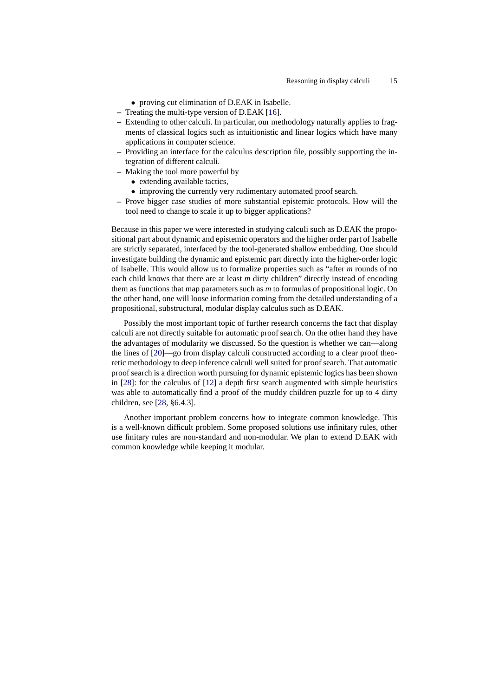- proving cut elimination of D.EAK in Isabelle.
- **–** Treating the multi-type version of D.EAK [\[16\]](#page-16-11).
- **–** Extending to other calculi. In particular, our methodology naturally applies to fragments of classical logics such as intuitionistic and linear logics which have many applications in computer science.
- **–** Providing an interface for the calculus description file, possibly supporting the integration of different calculi.
- **–** Making the tool more powerful by
	- extending available tactics,
	- improving the currently very rudimentary automated proof search.
- **–** Prove bigger case studies of more substantial epistemic protocols. How will the tool need to change to scale it up to bigger applications?

Because in this paper we were interested in studying calculi such as D.EAK the propositional part about dynamic and epistemic operators and the higher order part of Isabelle are strictly separated, interfaced by the tool-generated shallow embedding. One should investigate building the dynamic and epistemic part directly into the higher-order logic of Isabelle. This would allow us to formalize properties such as "after *m* rounds of no each child knows that there are at least *m* dirty children" directly instead of encoding them as functions that map parameters such as *m* to formulas of propositional logic. On the other hand, one will loose information coming from the detailed understanding of a propositional, substructural, modular display calculus such as D.EAK.

Possibly the most important topic of further research concerns the fact that display calculi are not directly suitable for automatic proof search. On the other hand they have the advantages of modularity we discussed. So the question is whether we can—along the lines of [\[20\]](#page-16-22)—go from display calculi constructed according to a clear proof theoretic methodology to deep inference calculi well suited for proof search. That automatic proof search is a direction worth pursuing for dynamic epistemic logics has been shown in [\[28\]](#page-17-7): for the calculus of [\[12\]](#page-16-5) a depth first search augmented with simple heuristics was able to automatically find a proof of the muddy children puzzle for up to 4 dirty children, see [\[28,](#page-17-7) §6.4.3].

Another important problem concerns how to integrate common knowledge. This is a well-known difficult problem. Some proposed solutions use infinitary rules, other use finitary rules are non-standard and non-modular. We plan to extend D.EAK with common knowledge while keeping it modular.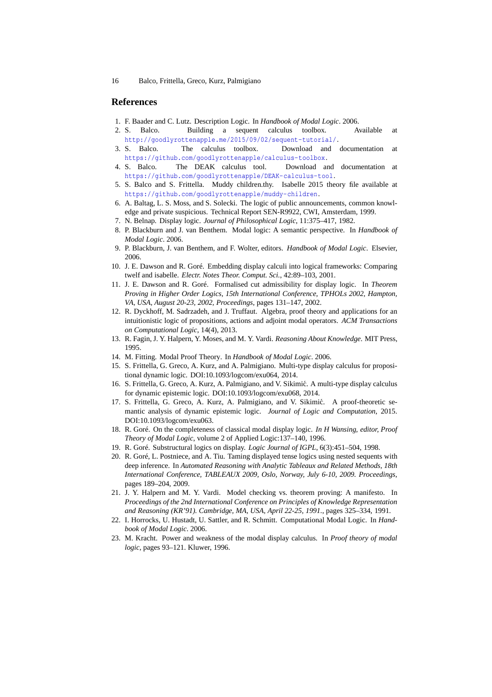#### <span id="page-16-4"></span>**References**

- <span id="page-16-18"></span>1. F. Baader and C. Lutz. Description Logic. In *Handbook of Modal Logic*. 2006.
- <span id="page-16-21"></span>2. S. Balco. Building a sequent calculus toolbox. Available at <http://goodlyrottenapple.me/2015/09/02/sequent-tutorial/>.
- <span id="page-16-16"></span>3. S. Balco. The calculus toolbox. Download and documentation at <https://github.com/goodlyrottenapple/calculus-toolbox>.
- <span id="page-16-17"></span>4. S. Balco. The DEAK calculus tool. Download and documentation at <https://github.com/goodlyrottenapple/DEAK-calculus-tool>.
- <span id="page-16-13"></span>5. S. Balco and S. Frittella. Muddy children.thy. Isabelle 2015 theory file available at <https://github.com/goodlyrottenapple/muddy-children>.
- 6. A. Baltag, L. S. Moss, and S. Solecki. The logic of public announcements, common knowledge and private suspicious. Technical Report SEN-R9922, CWI, Amsterdam, 1999.
- <span id="page-16-6"></span><span id="page-16-0"></span>7. N. Belnap. Display logic. *Journal of Philosophical Logic*, 11:375–417, 1982.
- 8. P. Blackburn and J. van Benthem. Modal logic: A semantic perspective. In *Handbook of Modal Logic*. 2006.
- <span id="page-16-14"></span><span id="page-16-1"></span>9. P. Blackburn, J. van Benthem, and F. Wolter, editors. *Handbook of Modal Logic*. Elsevier, 2006.
- 10. J. E. Dawson and R. Goré. Embedding display calculi into logical frameworks: Comparing twelf and isabelle. *Electr. Notes Theor. Comput. Sci.*, 42:89–103, 2001.
- <span id="page-16-15"></span>11. J. E. Dawson and R. Goré. Formalised cut admissibility for display logic. In *Theorem Proving in Higher Order Logics, 15th International Conference, TPHOLs 2002, Hampton, VA, USA, August 20-23, 2002, Proceedings*, pages 131–147, 2002.
- <span id="page-16-5"></span>12. R. Dyckhoff, M. Sadrzadeh, and J. Truffaut. Algebra, proof theory and applications for an intuitionistic logic of propositions, actions and adjoint modal operators. *ACM Transactions on Computational Logic*, 14(4), 2013.
- <span id="page-16-19"></span><span id="page-16-2"></span>13. R. Fagin, J. Y. Halpern, Y. Moses, and M. Y. Vardi. *Reasoning About Knowledge*. MIT Press, 1995.
- <span id="page-16-12"></span>14. M. Fitting. Modal Proof Theory. In *Handbook of Modal Logic*. 2006.
- 15. S. Frittella, G. Greco, A. Kurz, and A. Palmigiano. Multi-type display calculus for propositional dynamic logic. DOI:10.1093/logcom/exu064, 2014.
- <span id="page-16-11"></span>16. S. Frittella, G. Greco, A. Kurz, A. Palmigiano, and V. Sikimic. A multi-type display calculus ´ for dynamic epistemic logic. DOI:10.1093/logcom/exu068, 2014.
- <span id="page-16-10"></span>17. S. Frittella, G. Greco, A. Kurz, A. Palmigiano, and V. Sikimic. A proof-theoretic se- ´ mantic analysis of dynamic epistemic logic. *Journal of Logic and Computation*, 2015. DOI:10.1093/logcom/exu063.
- <span id="page-16-8"></span>18. R. Goré. On the completeness of classical modal display logic. *In H Wansing, editor, Proof Theory of Modal Logic*, volume 2 of Applied Logic:137–140, 1996.
- <span id="page-16-22"></span><span id="page-16-9"></span>19. R. Goré. Substructural logics on display. *Logic Journal of IGPL*, 6(3):451–504, 1998.
- 20. R. Goré, L. Postniece, and A. Tiu. Taming displayed tense logics using nested sequents with deep inference. In *Automated Reasoning with Analytic Tableaux and Related Methods, 18th International Conference, TABLEAUX 2009, Oslo, Norway, July 6-10, 2009. Proceedings*, pages 189–204, 2009.
- <span id="page-16-20"></span>21. J. Y. Halpern and M. Y. Vardi. Model checking vs. theorem proving: A manifesto. In *Proceedings of the 2nd International Conference on Principles of Knowledge Representation and Reasoning (KR'91). Cambridge, MA, USA, April 22-25, 1991.*, pages 325–334, 1991.
- <span id="page-16-3"></span>22. I. Horrocks, U. Hustadt, U. Sattler, and R. Schmitt. Computational Modal Logic. In *Handbook of Modal Logic*. 2006.
- <span id="page-16-7"></span>23. M. Kracht. Power and weakness of the modal display calculus. In *Proof theory of modal logic*, pages 93–121. Kluwer, 1996.